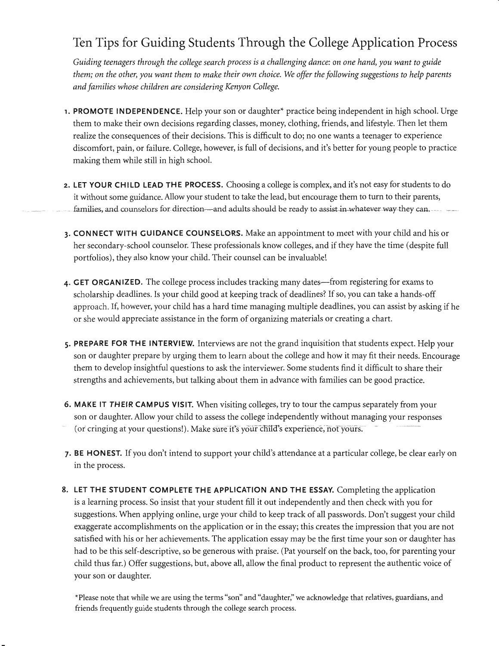## Ten Tips for Guiding Students Through the College Application Process

Guiding teenagers through the college search process is a challenging dance: on one hand, you want to guide them; on the other, you want them to make their own choice. We offer the following suggestions to help parents and families whose children are considering Kenyon College.

- 1. PROMOTE INDEPENDENCE. Help your son or daughter<sup>\*</sup> practice being independent in high school. Urge them to make their own decisions regarding classes, money, clothing, friends, and lifesryle. Then let them realize the consequences of their decisions. This is difficult to do; no one wants a teenager to experience discomfort, pain, or failure. College, however, is full of decisions, and it's better for young people to practice making them while still in high school
- 2. LET YOUR CHILD LEAD THE PROCESS. Choosing a college is complex, and it's not easy for students to do it without some guidance. Allow your student to take the lead, but encourage them to turn to their parents, families, and counselors for direction-and adults should be ready to assist in whatever way they can.
- 3. CONNECT WITH GUIDANCE COUNSELORS. Make an appointment to meet with your child and his or her secondary-school counselor. These professionals know colleges, and if they have the time (despite full portfolios), they also know your child. Their counsel can be invaluable!
- 4. GET ORGANIZED. The college process includes tracking many dates---from registering for exams to scholarship deadlines. Is your child good at keeping track of deadlines? If so, you can take a hands-off approach. If, however, your child has a hard time managing multiple deadlines, you can assist by asking if he or she would appreciate assistance in the form of organizing materials or creating a chart.
- 5. PREPARE FOR THE INTERVIEW. Interviews are not the grand inquisition that students expect. Help your son or daughter prepare by urging them to learn about the college and how it may fit their needs. Encourage them to develop insightful questions to ask the interviewer. Some students find it difficult to share their strengths and achievements, but talking about them in advance with families can be good practice.
- 6. MAKE IT THEIR CAMPUS VISIT. When visiting colleges, try to tour the campus separately from your son or daughter. Allow your child to assess the college independently without managing your responses (or cringing at your questions!). Make sure it's your child's experience, not yours.
- 7. BE HONEST. If you don't intend to support your child's attendance at a particular college, be clear early on in the process.
- 8. LET THE STUDENT COMPLETE THE APPLICATION AND THE ESSAY. Completing the application is a learning process. So insist that your student fill it out independently and then check with you for suggestions. When applying online, urge your child to keep track of all passwords. Don't suggest your child exaggerate accomplishments on the application or in the essay; this creates the impression that you are not satisfied with his or her achievements. The application essay may be the first time your son or daughter has had to be this self-descriptive, so be generous with praise. (Pat yourself on the back, too, for parenting your child thus far.) Offer suggestions, but, above all, allow the final product to represent the authentic voice of your son or daughter.

\*Please note that while we are using the terms "son" and "daughter," we acknowledge that relatives, guardians, and friends frequently guide students through the college search process.